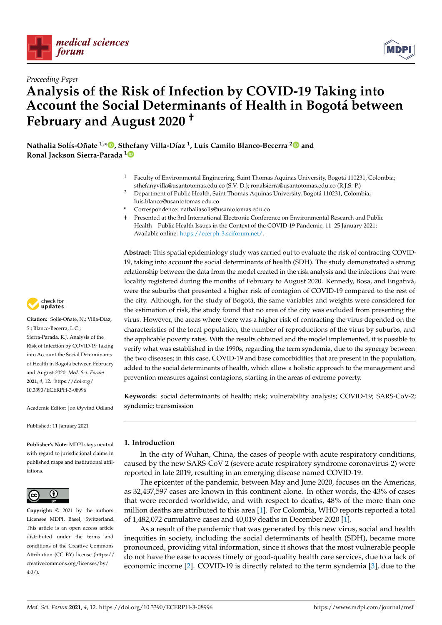



# **Analysis of the Risk of Infection by COVID-19 Taking into Account the Social Determinants of Health in Bogotá between February and August 2020 †**

**Nathalia Solís-Oñate 1,[\\*](https://orcid.org/0000-0001-7617-2149) , St[hef](https://orcid.org/0000-0002-9206-5682)any Villa-Díaz <sup>1</sup> , Luis Camilo Blanco-Becerra [2](https://orcid.org/0000-0003-1974-0255) and Ronal Jackson Sierra-Parada <sup>1</sup>**

- <sup>1</sup> Faculty of Environmental Engineering, Saint Thomas Aquinas University, Bogotá 110231, Colombia; sthefanyvilla@usantotomas.edu.co (S.V.-D.); ronalsierra@usantotomas.edu.co (R.J.S.-P.)
- <sup>2</sup> Department of Public Health, Saint Thomas Aquinas University, Bogotá 110231, Colombia; luis.blanco@usantotomas.edu.co
- **\*** Correspondence: nathaliasolis@usantotomas.edu.co
- † Presented at the 3rd International Electronic Conference on Environmental Research and Public Health—Public Health Issues in the Context of the COVID-19 Pandemic, 11–25 January 2021; Available online: [https://ecerph-3.sciforum.net/.](https://ecerph-3.sciforum.net/)

**Abstract:** This spatial epidemiology study was carried out to evaluate the risk of contracting COVID-19, taking into account the social determinants of health (SDH). The study demonstrated a strong relationship between the data from the model created in the risk analysis and the infections that were locality registered during the months of February to August 2020. Kennedy, Bosa, and Engativá, were the suburbs that presented a higher risk of contagion of COVID-19 compared to the rest of the city. Although, for the study of Bogotá, the same variables and weights were considered for the estimation of risk, the study found that no area of the city was excluded from presenting the virus. However, the areas where there was a higher risk of contracting the virus depended on the characteristics of the local population, the number of reproductions of the virus by suburbs, and the applicable poverty rates. With the results obtained and the model implemented, it is possible to verify what was established in the 1990s, regarding the term syndemia, due to the synergy between the two diseases; in this case, COVID-19 and base comorbidities that are present in the population, added to the social determinants of health, which allow a holistic approach to the management and prevention measures against contagions, starting in the areas of extreme poverty.

**Keywords:** social determinants of health; risk; vulnerability analysis; COVID-19; SARS-CoV-2; syndemic; transmission

Published: 11 January 2021

**Publisher's Note:** MDPI stays neutral with regard to jurisdictional claims in published maps and institutional affiliations.

Academic Editor: Jon Øyvind Odland



**Copyright:** © 2021 by the authors. Licensee MDPI, Basel, Switzerland. This article is an open access article distributed under the terms and conditions of the Creative Commons Attribution (CC BY) license (https:/[/](https://creativecommons.org/licenses/by/4.0/) [creativecommons.org/licenses/by/](https://creativecommons.org/licenses/by/4.0/)  $4.0/$ ).

**1. Introduction**

In the city of Wuhan, China, the cases of people with acute respiratory conditions, caused by the new SARS-CoV-2 (severe acute respiratory syndrome coronavirus-2) were reported in late 2019, resulting in an emerging disease named COVID-19.

The epicenter of the pandemic, between May and June 2020, focuses on the Americas, as 32,437,597 cases are known in this continent alone. In other words, the 43% of cases that were recorded worldwide, and with respect to deaths, 48% of the more than one million deaths are attributed to this area [\[1\]](#page-3-0). For Colombia, WHO reports reported a total of 1,482,072 cumulative cases and 40,019 deaths in December 2020 [\[1\]](#page-3-0).

As a result of the pandemic that was generated by this new virus, social and health inequities in society, including the social determinants of health (SDH), became more pronounced, providing vital information, since it shows that the most vulnerable people do not have the ease to access timely or good-quality health care services, due to a lack of economic income [\[2\]](#page-3-1). COVID-19 is directly related to the term syndemia [\[3\]](#page-3-2), due to the



S.; Blanco-Becerra, L.C.; Sierra-Parada, R.J. Analysis of the Risk of Infection by COVID-19 Taking into Account the Social Determinants of Health in Bogotá between February and August 2020. *Med. Sci. Forum* **2021**, *4*, 12. [https://doi.org/](https://doi.org/10.3390/ECERPH-3-08996) [10.3390/ECERPH-3-08996](https://doi.org/10.3390/ECERPH-3-08996)

**Citation:** Solís-Oñate, N.; Villa-Díaz,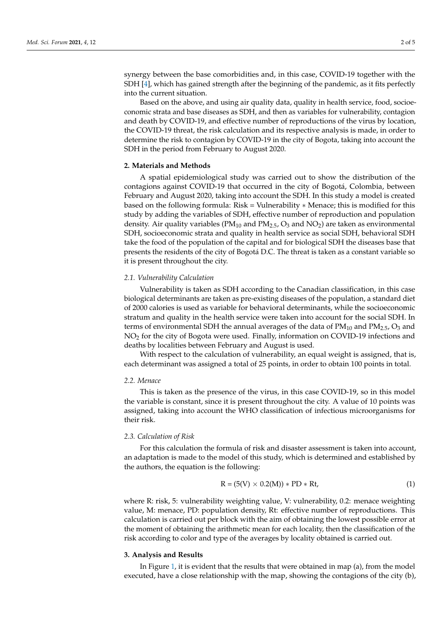synergy between the base comorbidities and, in this case, COVID-19 together with the SDH [\[4\]](#page-3-3), which has gained strength after the beginning of the pandemic, as it fits perfectly into the current situation.

Based on the above, and using air quality data, quality in health service, food, socioeconomic strata and base diseases as SDH, and then as variables for vulnerability, contagion and death by COVID-19, and effective number of reproductions of the virus by location, the COVID-19 threat, the risk calculation and its respective analysis is made, in order to determine the risk to contagion by COVID-19 in the city of Bogota, taking into account the SDH in the period from February to August 2020.

# **2. Materials and Methods**

A spatial epidemiological study was carried out to show the distribution of the contagions against COVID-19 that occurred in the city of Bogotá, Colombia, between February and August 2020, taking into account the SDH. In this study a model is created based on the following formula: Risk = Vulnerability ∗ Menace; this is modified for this study by adding the variables of SDH, effective number of reproduction and population density. Air quality variables ( $PM_{10}$  and  $PM_{2.5}$ , O<sub>3</sub> and  $NO<sub>2</sub>$ ) are taken as environmental SDH, socioeconomic strata and quality in health service as social SDH, behavioral SDH take the food of the population of the capital and for biological SDH the diseases base that presents the residents of the city of Bogotá D.C. The threat is taken as a constant variable so it is present throughout the city.

### *2.1. Vulnerability Calculation*

Vulnerability is taken as SDH according to the Canadian classification, in this case biological determinants are taken as pre-existing diseases of the population, a standard diet of 2000 calories is used as variable for behavioral determinants, while the socioeconomic stratum and quality in the health service were taken into account for the social SDH. In terms of environmental SDH the annual averages of the data of  $PM_{10}$  and  $PM_{2.5}$ ,  $O_3$  and NO<sup>2</sup> for the city of Bogota were used. Finally, information on COVID-19 infections and deaths by localities between February and August is used.

With respect to the calculation of vulnerability, an equal weight is assigned, that is, each determinant was assigned a total of 25 points, in order to obtain 100 points in total.

#### *2.2. Menace*

This is taken as the presence of the virus, in this case COVID-19, so in this model the variable is constant, since it is present throughout the city. A value of 10 points was assigned, taking into account the WHO classification of infectious microorganisms for their risk.

#### *2.3. Calculation of Risk*

For this calculation the formula of risk and disaster assessment is taken into account, an adaptation is made to the model of this study, which is determined and established by the authors, the equation is the following:

$$
R = (5(V) \times 0.2(M)) * PD * Rt,
$$
 (1)

where R: risk, 5: vulnerability weighting value, V: vulnerability, 0.2: menace weighting value, M: menace, PD: population density, Rt: effective number of reproductions. This calculation is carried out per block with the aim of obtaining the lowest possible error at the moment of obtaining the arithmetic mean for each locality, then the classification of the risk according to color and type of the averages by locality obtained is carried out.

# **3. Analysis and Results**

In Figure [1,](#page-2-0) it is evident that the results that were obtained in map  $(a)$ , from the model executed, have a close relationship with the map, showing the contagions of the city (b),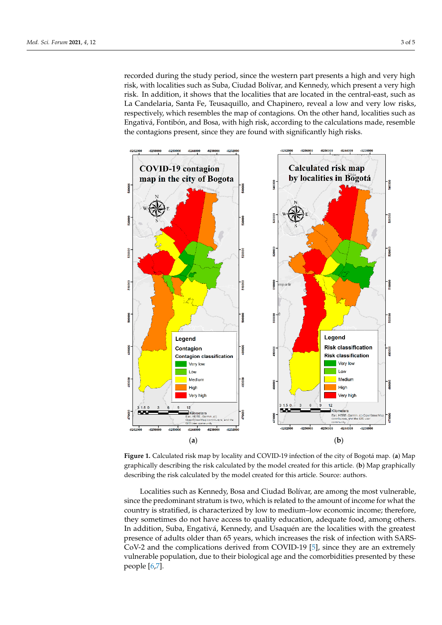recorded during the study period, since the western part presents a high and very high risk, with localities such as Suba, Ciudad Bolívar, and Kennedy, which present a very high risk. In addition, it shows that the localities that are located in the central-east, such as La Candelaria, Santa Fe, Teusaquillo, and Chapinero, reveal a low and very low risks, respectively, which resembles the map of contagions. On the other hand, localities such as Engativá, Fontibón, and Bosa, with high risk, according to the calculations made, resemble the contagions present, since they are found with significantly high risks.

contagions present, since they are found with significant  $\alpha$ 

<span id="page-2-0"></span>

**Figure 1.** Calculated risk map by locality and COVID-19 infection of the city of Bogotá map. (**a**) Map graphically describing the risk calculated by the model created for this article. (**b**) Map graphically describing the risk calculated by the model created for this article. Source: authors.

Localities such as Kennedy, Bosa and Ciudad Bolívar, are among the most vulnerable, since the predominant stratum is two, which is related to the amount of income for what the country is stratified, is characterized by low to medium–low economic income; therefore, they sometimes do not have access to quality education, adequate food, among others. In addition, Suba, Engativá, Kennedy, and Usaquén are the localities with the greatest presence of adults older than 65 years, which increases the risk of infection with SARS-CoV-2 and the complications derived from COVID-19 [\[5\]](#page-3-4), since they are an extremely vulnerable population, due to their biological age and the comorbidities presented by these people [\[6,](#page-4-0)[7\]](#page-4-1).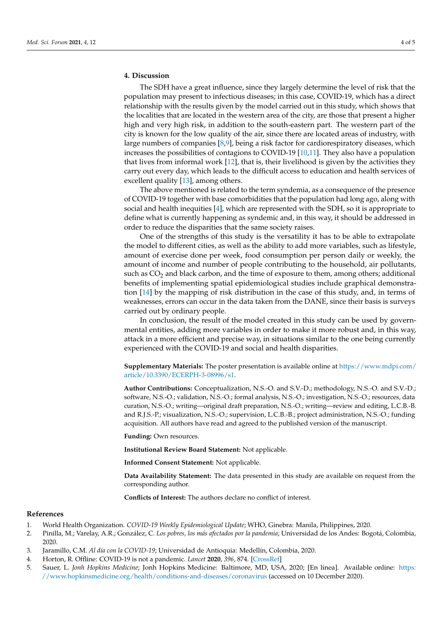The SDH have a great influence, since they largely determine the level of risk that the population may present to infectious diseases; in this case, COVID-19, which has a direct relationship with the results given by the model carried out in this study, which shows that the localities that are located in the western area of the city, are those that present a higher high and very high risk, in addition to the south-eastern part. The western part of the city is known for the low quality of the air, since there are located areas of industry, with large numbers of companies [\[8,](#page-4-2)[9\]](#page-4-3), being a risk factor for cardiorespiratory diseases, which increases the possibilities of contagions to COVID-19 [\[10,](#page-4-4)[11\]](#page-4-5). They also have a population that lives from informal work [\[12\]](#page-4-6), that is, their livelihood is given by the activities they carry out every day, which leads to the difficult access to education and health services of excellent quality [\[13\]](#page-4-7), among others.

The above mentioned is related to the term syndemia, as a consequence of the presence of COVID-19 together with base comorbidities that the population had long ago, along with social and health inequities [\[4\]](#page-3-3), which are represented with the SDH, so it is appropriate to define what is currently happening as syndemic and, in this way, it should be addressed in order to reduce the disparities that the same society raises.

One of the strengths of this study is the versatility it has to be able to extrapolate the model to different cities, as well as the ability to add more variables, such as lifestyle, amount of exercise done per week, food consumption per person daily or weekly, the amount of income and number of people contributing to the household, air pollutants, such as  $CO<sub>2</sub>$  and black carbon, and the time of exposure to them, among others; additional benefits of implementing spatial epidemiological studies include graphical demonstration [\[14\]](#page-4-8) by the mapping of risk distribution in the case of this study, and, in terms of weaknesses, errors can occur in the data taken from the DANE, since their basis is surveys carried out by ordinary people.

In conclusion, the result of the model created in this study can be used by governmental entities, adding more variables in order to make it more robust and, in this way, attack in a more efficient and precise way, in situations similar to the one being currently experienced with the COVID-19 and social and health disparities.

**Supplementary Materials:** The poster presentation is available online at [https://www.mdpi.com/](https://www.mdpi.com/article/10.3390/ECERPH-3-08996/s1) [article/10.3390/ECERPH-3-08996/s1.](https://www.mdpi.com/article/10.3390/ECERPH-3-08996/s1)

**Author Contributions:** Conceptualization, N.S.-O. and S.V.-D.; methodology, N.S.-O. and S.V.-D.; software, N.S.-O.; validation, N.S.-O.; formal analysis, N.S.-O.; investigation, N.S.-O.; resources, data curation, N.S.-O.; writing—original draft preparation, N.S.-O.; writing—review and editing, L.C.B.-B. and R.J.S.-P.; visualization, N.S.-O.; supervision, L.C.B.-B.; project administration, N.S.-O.; funding acquisition. All authors have read and agreed to the published version of the manuscript.

**Funding:** Own resources.

**Institutional Review Board Statement:** Not applicable.

**Informed Consent Statement:** Not applicable.

**Data Availability Statement:** The data presented in this study are available on request from the corresponding author.

**Conflicts of Interest:** The authors declare no conflict of interest.

# **References**

- <span id="page-3-0"></span>1. World Health Organization. *COVID-19 Weekly Epidemiological Update*; WHO, Ginebra: Manila, Philippines, 2020.
- <span id="page-3-1"></span>2. Pinilla, M.; Varelay, A.R.; González, C. *Los pobres, los más afectados por la pandemia*; Universidad de los Andes: Bogotá, Colombia, 2020.
- <span id="page-3-2"></span>3. Jaramillo, C.M. *Al día con la COVID-19*; Universidad de Antioquia: Medellín, Colombia, 2020.
- <span id="page-3-3"></span>4. Horton, R. Offline: COVID-19 is not a pandemic. *Lancet* **2020**, *396*, 874. [\[CrossRef\]](http://doi.org/10.1016/S0140-6736(20)32000-6)
- <span id="page-3-4"></span>5. Sauer, L. *Jonh Hopkins Medicine*; Jonh Hopkins Medicine: Baltimore, MD, USA, 2020; [En línea]. Available online: [https:](https://www.hopkinsmedicine.org/health/conditions-and-diseases/coronavirus) [//www.hopkinsmedicine.org/health/conditions-and-diseases/coronavirus](https://www.hopkinsmedicine.org/health/conditions-and-diseases/coronavirus) (accessed on 10 December 2020).